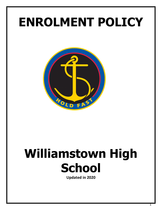## **ENROLMENT POLICY**



# **Williamstown High School**

**Updated in 2020**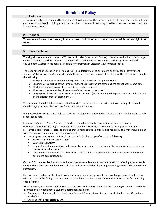### **Enrolment Policy**

#### **1. Rationale**

 There is currently a high demand for enrolment at Williamstown High School, and not all those who seek enrolment can be accommodated. It is important that decisions about enrolment are guided by processes that are consistent, fair and transparent.

#### **2. Purpose**

To ensure clarity and transparency in the process of admission to and enrolment at Williamstown High School (WHS).

#### **3. Implementation**

The eligibility of a student to enrol in WHS (as a Victorian Government School) is determined by the student's age, course of study and residential status. Students who have Australian Permanent Residency or are deemed equivalent to Australian residents are eligible for enrolment in Victorian Government Schools.

The Department of Education and Training (DET) has determined the enrolment priorities for all government schools. Williamstown High School adheres to these priorities and enrolment positions will be offered according to the following:

- 1. Students for whom Williamstown High School is the nearest designated school.
- 2. Students with a sibling at the same permanent address who are attending the school at the same time.
- 3. Students seeking enrolment on specific curriculum grounds.
- 4. All other students in order of closeness of their home to the school.
- 5. In exceptional circumstances, compassionate grounds. (This is an overarching consideration and is not part of the priority order of placement).

The permanent residential address is defined as where the student is living with their own family. It does not include staying with another relative, friend or a business address.

[findmyschool.vic.gov.au](https://www.findmyschool.vic.gov.au/) is available to search for local government schools. This is the official and most up to date school zones map.

In the case of current Grade 6 student this will be the address on their current school records unless documentation substantiating another address is provided. Documentary evidence to support claims of a residential address inside or close to the designated neighbourhood area will be required. This may include, along with the application, original or certified copies of:

- Rental agreements or unconditional contracts of sale plus a copy of two of the following:
	- **Electoral enrolment confirmation**
	- Council rates notices
	- Other official documentation that demonstrates permanent residency at that address such as a driver's license or health care card.
	- Documents should show the same address and parent's and guardian's name as recorded on the school enrolment application form.

*Optional:* On request, families may also be required to complete a statutory declaration confirming the student is living in the address provided in the enrolment application and that the arrangement is genuine and intended to be permanent.

If concerns are had about the duration of a rental agreement being provided as proof of permanent address, we will consult with the family to ensure that the school has provided reasonable consideration to the family's living circumstances.

When assessing enrolment applications, Williamstown High School may make the following enquiries to verify the information provided about a student's permanent residence:

- Checking the electoral roll at an Australian Electoral Commission office or the Victorian Electoral Commission head office
- Checking with a real estate agent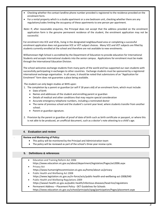- Checking whether the contact landline phone number provided is registered to the residence provided on the enrolment form.
- For a rental property which is a studio apartment or a one bedroom unit, checking whether there are any regulations/codes limiting the occupancy of these apartments to one person per apartment.

*Note:* If, after reasonable enquiries, the Principal does not accept that the address provided on the enrolment application form is the genuine permanent residence of the student, the enrolment application may not be successful.

For enrolment into VCE and VCAL, living in the designated neighbourhood area or completing a successful enrolment application does not guarantee VCE or VET subject choices. Many VCE and VET subjects are filled by students currently enrolled at the school and therefore are not available to new enrolments.

Williamstown High School is accredited by the Department of Education to provide education for International Students and accepts International students into the senior campus. Applications for enrolment must be made through the International Education Division.

The school welcomes exchange students from many parts of the world and has supported our own students with successfully participating in exchanges to other countries. Exchange students must be sponsored by a registered international exchange organisation. In all cases, it should be noted that submissions of an "Application for Enrolment" form does not guarantee a place being available.

The student can only begin studies at WHS upon:

- 1. The completion by a parent or guardian (or self if 18 years old) of an enrolment form, which must include:
	- Date of birth
	- Names and addresses of the student and enrolling parent or guardian
	- Details of medical and other conditions that may require special consideration
	- Accurate emergency telephone numbers, including a nominated doctor
	- The name of previous school and the student's current year level, where students transfer from another school.
	- Parent or guardian signature.
- 2. Provision by the parent or guardian of proof of date of birth such as birth certificate or passport, or where this is not able to be produced, an unofficial document, such as a doctor's note attesting to a child's age.

#### **4. Evaluation and review**

#### . **Review and Monitoring of Policy:**

- This policy will be monitored by the Principal and Administration team
- The policy will be reviewed as part of the school's three year review cycle.

#### **5. Definitions & references**

- Education and Training Reform Act 2006 <https://www.education.vic.gov.au/about/department/legislation/Pages/act2006.aspx>
- Privacy Act https://www.humanrightscommission.vic.gov.au/home/about-us/privacy
- Public Health and Wellbeing Act 2008 https://www.legislation.vic.gov.au/in-force/acts/public-health-and-wellbeing-act-2008/040
- Public Health and Wellbeing Regulations 2009 https://www2.health.vic.gov.au/public-health/infectious-diseases/head-lice/regulations
- Permanent Address Placement Policy DET Guidelines for Schools https://www.education.vic.gov.au/school/principals/spag/participation/Pages/placement.aspx